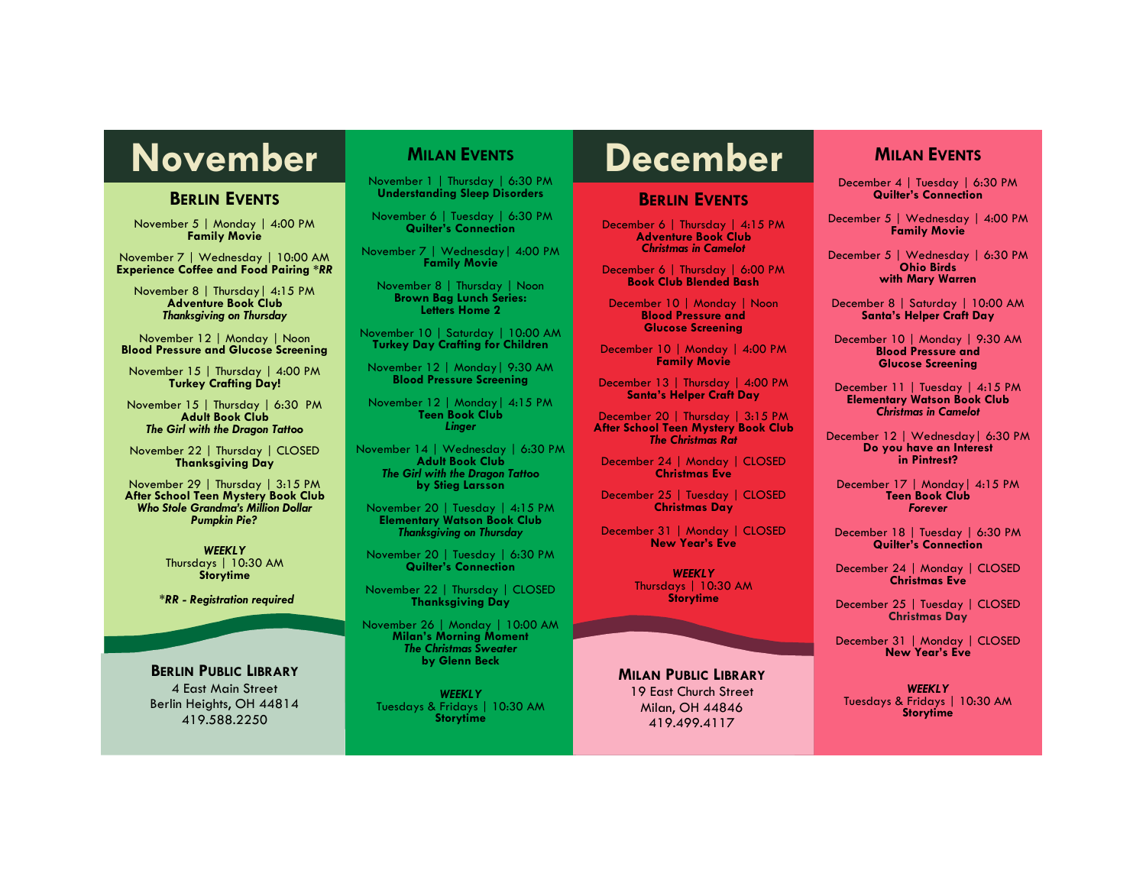# November MILAN EVENTS **December**

# **BERLIN EVENTS**

November 5 | Monday | 4:00 PM **Family Movie**

November 7 | Wednesday | 10:00 AM **Experience Coffee and Food Pairing \****RR*

November 8 | Thursday| 4:15 PM **Adventure Book Club** *Thanksgiving on Thursday*

November 12 | Monday | Noon **Blood Pressure and Glucose Screening** 

November 15 | Thursday | 4:00 PM **Turkey Crafting Day!**

November 15 | Thursday | 6:30 PM **Adult Book Club** *The Girl with the Dragon Tattoo*

November 22 | Thursday | CLOSED **Thanksgiving Day**

November 29 | Thursday | 3:15 PM **After School Teen Mystery Book Club** *Who Stole Grandma's Million Dollar Pumpkin Pie?* 

> *WEEKLY* Thursdays | 10:30 AM **Storytime**

*\*RR - Registration required*

**BERLIN PUBLIC LIBRARY** 4 East Main Street Berlin Heights, OH 44814 419.588.2250

# **MILAN EVENTS**

November 1 | Thursday | 6:30 PM **Understanding Sleep Disorders**

November 6 | Tuesday | 6:30 PM **Quilter's Connection**

November 7 | Wednesday| 4:00 PM **Family Movie** 

November 8 | Thursday | Noon **Brown Bag Lunch Series: Letters Home 2** 

November 10 | Saturday | 10:00 AM **Turkey Day Crafting for Children**

November 12 | Monday| 9:30 AM **Blood Pressure Screening**

November 12 | Monday| 4:15 PM **Teen Book Club** *Linger* 

November 14 | Wednesday | 6:30 PM **Adult Book Club** *The Girl with the Dragon Tattoo* **by Stieg Larsson**

November 20 | Tuesday | 4:15 PM **Elementary Watson Book Club** *Thanksgiving on Thursday*

November 20 | Tuesday | 6:30 PM **Quilter's Connection**

November 22 | Thursday | CLOSED **Thanksgiving Day**

November 26 | Monday | 10:00 AM **Milan's Morning Moment** *The Christmas Sweater* **by Glenn Beck**

*WEEKLY* Tuesdays & Fridays | 10:30 AM **Storytime**

# **BERLIN EVENTS**

December 6 | Thursday | 4:15 PM **Adventure Book Club** *Christmas in Camelot*

December 6 | Thursday | 6:00 PM **Book Club Blended Bash** 

December 10 | Monday | Noon **Blood Pressure and Glucose Screening** 

December 10 | Monday | 4:00 PM **Family Movie**

December 13 | Thursday | 4:00 PM **Santa's Helper Craft Day**

December 20 | Thursday | 3:15 PM **After School Teen Mystery Book Club** *The Christmas Rat* 

December 24 | Monday | CLOSED **Christmas Eve**

December 25 | Tuesday | CLOSED **Christmas Day**

December 31 | Monday | CLOSED **New Year's Eve**

> *WEEKLY* Thursdays | 10:30 AM **Storytime**

# **MILAN PUBLIC LIBRARY**

19 East Church Street Milan, OH 44846 419.499.4117

# **MILAN EVENTS**

December 4 | Tuesday | 6:30 PM **Quilter's Connection**

December 5 | Wednesday | 4:00 PM **Family Movie**

December 5 | Wednesday | 6:30 PM **Ohio Birds with Mary Warren**

December 8 | Saturday | 10:00 AM **Santa's Helper Craft Day**

December 10 | Monday | 9:30 AM **Blood Pressure and Glucose Screening**

December 11 | Tuesday | 4:15 PM **Elementary Watson Book Club** *Christmas in Camelot*

December 12 | Wednesday| 6:30 PM **Do you have an Interest in Pintrest?**

December 17 | Monday| 4:15 PM **Teen Book Club** *Forever*

December 18 | Tuesday | 6:30 PM **Quilter's Connection**

December 24 | Monday | CLOSED **Christmas Eve**

December 25 | Tuesday | CLOSED **Christmas Day**

December 31 | Monday | CLOSED **New Year's Eve**

*WEEKLY* Tuesdays & Fridays | 10:30 AM **Storytime**